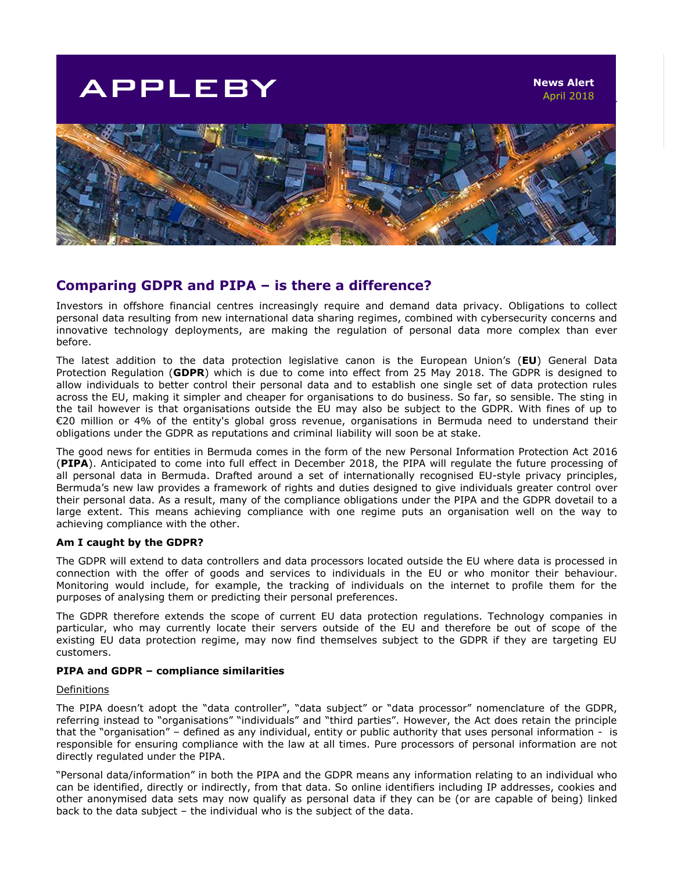# **APPLEBY**



## **Comparing GDPR and PIPA – is there a difference?**

Investors in offshore financial centres increasingly require and demand data privacy. Obligations to collect personal data resulting from new international data sharing regimes, combined with cybersecurity concerns and innovative technology deployments, are making the regulation of personal data more complex than ever before.

The latest addition to the data protection legislative canon is the European Union's (**EU**) General Data Protection Regulation (**GDPR**) which is due to come into effect from 25 May 2018. The GDPR is designed to allow individuals to better control their personal data and to establish one single set of data protection rules across the EU, making it simpler and cheaper for organisations to do business. So far, so sensible. The sting in the tail however is that organisations outside the EU may also be subject to the GDPR. With fines of up to €20 million or 4% of the entity's global gross revenue, organisations in Bermuda need to understand their obligations under the GDPR as reputations and criminal liability will soon be at stake.

The good news for entities in Bermuda comes in the form of the new Personal Information Protection Act 2016 (**PIPA**). Anticipated to come into full effect in December 2018, the PIPA will regulate the future processing of all personal data in Bermuda. Drafted around a set of internationally recognised EU-style privacy principles, Bermuda's new law provides a framework of rights and duties designed to give individuals greater control over their personal data. As a result, many of the compliance obligations under the PIPA and the GDPR dovetail to a large extent. This means achieving compliance with one regime puts an organisation well on the way to achieving compliance with the other.

### **Am I caught by the GDPR?**

The GDPR will extend to data controllers and data processors located outside the EU where data is processed in connection with the offer of goods and services to individuals in the EU or who monitor their behaviour. Monitoring would include, for example, the tracking of individuals on the internet to profile them for the purposes of analysing them or predicting their personal preferences.

The GDPR therefore extends the scope of current EU data protection regulations. Technology companies in particular, who may currently locate their servers outside of the EU and therefore be out of scope of the existing EU data protection regime, may now find themselves subject to the GDPR if they are targeting EU customers.

#### **PIPA and GDPR – compliance similarities**

#### **Definitions**

The PIPA doesn't adopt the "data controller", "data subject" or "data processor" nomenclature of the GDPR, referring instead to "organisations" "individuals" and "third parties". However, the Act does retain the principle that the "organisation" – defined as any individual, entity or public authority that uses personal information - is responsible for ensuring compliance with the law at all times. Pure processors of personal information are not directly regulated under the PIPA.

"Personal data/information" in both the PIPA and the GDPR means any information relating to an individual who can be identified, directly or indirectly, from that data. So online identifiers including IP addresses, cookies and other anonymised data sets may now qualify as personal data if they can be (or are capable of being) linked back to the data subject – the individual who is the subject of the data.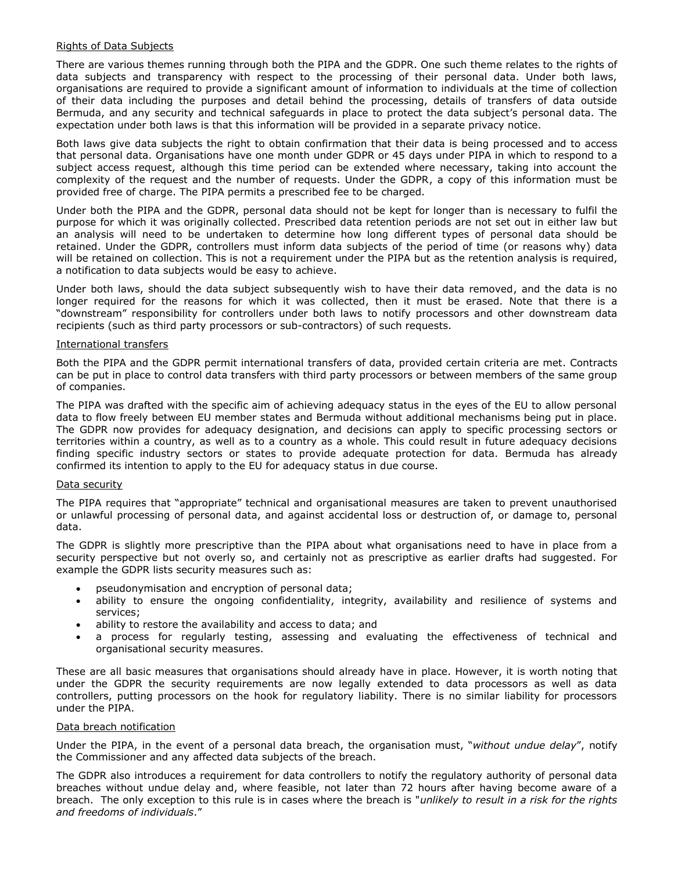#### Rights of Data Subjects

There are various themes running through both the PIPA and the GDPR. One such theme relates to the rights of data subjects and transparency with respect to the processing of their personal data. Under both laws, organisations are required to provide a significant amount of information to individuals at the time of collection of their data including the purposes and detail behind the processing, details of transfers of data outside Bermuda, and any security and technical safeguards in place to protect the data subject's personal data. The expectation under both laws is that this information will be provided in a separate privacy notice.

Both laws give data subjects the right to obtain confirmation that their data is being processed and to access that personal data. Organisations have one month under GDPR or 45 days under PIPA in which to respond to a subject access request, although this time period can be extended where necessary, taking into account the complexity of the request and the number of requests. Under the GDPR, a copy of this information must be provided free of charge. The PIPA permits a prescribed fee to be charged.

Under both the PIPA and the GDPR, personal data should not be kept for longer than is necessary to fulfil the purpose for which it was originally collected. Prescribed data retention periods are not set out in either law but an analysis will need to be undertaken to determine how long different types of personal data should be retained. Under the GDPR, controllers must inform data subjects of the period of time (or reasons why) data will be retained on collection. This is not a requirement under the PIPA but as the retention analysis is required, a notification to data subjects would be easy to achieve.

Under both laws, should the data subject subsequently wish to have their data removed, and the data is no longer required for the reasons for which it was collected, then it must be erased. Note that there is a "downstream" responsibility for controllers under both laws to notify processors and other downstream data recipients (such as third party processors or sub-contractors) of such requests.

#### International transfers

Both the PIPA and the GDPR permit international transfers of data, provided certain criteria are met. Contracts can be put in place to control data transfers with third party processors or between members of the same group of companies.

The PIPA was drafted with the specific aim of achieving adequacy status in the eyes of the EU to allow personal data to flow freely between EU member states and Bermuda without additional mechanisms being put in place. The GDPR now provides for adequacy designation, and decisions can apply to specific processing sectors or territories within a country, as well as to a country as a whole. This could result in future adequacy decisions finding specific industry sectors or states to provide adequate protection for data. Bermuda has already confirmed its intention to apply to the EU for adequacy status in due course.

### Data security

The PIPA requires that "appropriate" technical and organisational measures are taken to prevent unauthorised or unlawful processing of personal data, and against accidental loss or destruction of, or damage to, personal data.

The GDPR is slightly more prescriptive than the PIPA about what organisations need to have in place from a security perspective but not overly so, and certainly not as prescriptive as earlier drafts had suggested. For example the GDPR lists security measures such as:

- pseudonymisation and encryption of personal data;
- ability to ensure the ongoing confidentiality, integrity, availability and resilience of systems and services;
- ability to restore the availability and access to data; and
- a process for regularly testing, assessing and evaluating the effectiveness of technical and organisational security measures.

These are all basic measures that organisations should already have in place. However, it is worth noting that under the GDPR the security requirements are now legally extended to data processors as well as data controllers, putting processors on the hook for regulatory liability. There is no similar liability for processors under the PIPA.

### Data breach notification

Under the PIPA, in the event of a personal data breach, the organisation must, "*without undue delay*", notify the Commissioner and any affected data subjects of the breach.

The GDPR also introduces a requirement for data controllers to notify the regulatory authority of personal data breaches without undue delay and, where feasible, not later than 72 hours after having become aware of a breach. The only exception to this rule is in cases where the breach is "*unlikely to result in a risk for the rights and freedoms of individuals*."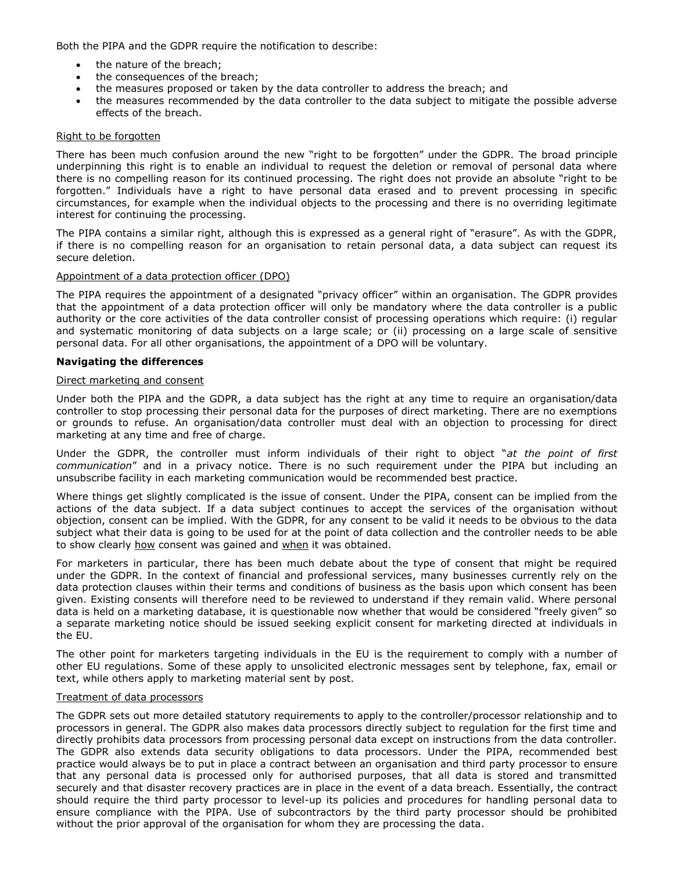Both the PIPA and the GDPR require the notification to describe:

- the nature of the breach;
- the consequences of the breach;
- the measures proposed or taken by the data controller to address the breach; and
- the measures recommended by the data controller to the data subject to mitigate the possible adverse effects of the breach.

#### Right to be forgotten

There has been much confusion around the new "right to be forgotten" under the GDPR. The broad principle underpinning this right is to enable an individual to request the deletion or removal of personal data where there is no compelling reason for its continued processing. The right does not provide an absolute "right to be forgotten." Individuals have a right to have personal data erased and to prevent processing in specific circumstances, for example when the individual objects to the processing and there is no overriding legitimate interest for continuing the processing.

The PIPA contains a similar right, although this is expressed as a general right of "erasure". As with the GDPR, if there is no compelling reason for an organisation to retain personal data, a data subject can request its secure deletion.

#### Appointment of a data protection officer (DPO)

The PIPA requires the appointment of a designated "privacy officer" within an organisation. The GDPR provides that the appointment of a data protection officer will only be mandatory where the data controller is a public authority or the core activities of the data controller consist of processing operations which require: (i) regular and systematic monitoring of data subjects on a large scale; or (ii) processing on a large scale of sensitive personal data. For all other organisations, the appointment of a DPO will be voluntary.

#### **Navigating the differences**

#### Direct marketing and consent

Under both the PIPA and the GDPR, a data subject has the right at any time to require an organisation/data controller to stop processing their personal data for the purposes of direct marketing. There are no exemptions or grounds to refuse. An organisation/data controller must deal with an objection to processing for direct marketing at any time and free of charge.

Under the GDPR, the controller must inform individuals of their right to object "*at the point of first communication*" and in a privacy notice. There is no such requirement under the PIPA but including an unsubscribe facility in each marketing communication would be recommended best practice.

Where things get slightly complicated is the issue of consent. Under the PIPA, consent can be implied from the actions of the data subject. If a data subject continues to accept the services of the organisation without objection, consent can be implied. With the GDPR, for any consent to be valid it needs to be obvious to the data subject what their data is going to be used for at the point of data collection and the controller needs to be able to show clearly how consent was gained and when it was obtained.

For marketers in particular, there has been much debate about the type of consent that might be required under the GDPR. In the context of financial and professional services, many businesses currently rely on the data protection clauses within their terms and conditions of business as the basis upon which consent has been given. Existing consents will therefore need to be reviewed to understand if they remain valid. Where personal data is held on a marketing database, it is questionable now whether that would be considered "freely given" so a separate marketing notice should be issued seeking explicit consent for marketing directed at individuals in the EU.

The other point for marketers targeting individuals in the EU is the requirement to comply with a number of other EU regulations. Some of these apply to unsolicited electronic messages sent by telephone, fax, email or text, while others apply to marketing material sent by post.

#### Treatment of data processors

The GDPR sets out more detailed statutory requirements to apply to the controller/processor relationship and to processors in general. The GDPR also makes data processors directly subject to regulation for the first time and directly prohibits data processors from processing personal data except on instructions from the data controller. The GDPR also extends data security obligations to data processors. Under the PIPA, recommended best practice would always be to put in place a contract between an organisation and third party processor to ensure that any personal data is processed only for authorised purposes, that all data is stored and transmitted securely and that disaster recovery practices are in place in the event of a data breach. Essentially, the contract should require the third party processor to level-up its policies and procedures for handling personal data to ensure compliance with the PIPA. Use of subcontractors by the third party processor should be prohibited without the prior approval of the organisation for whom they are processing the data.